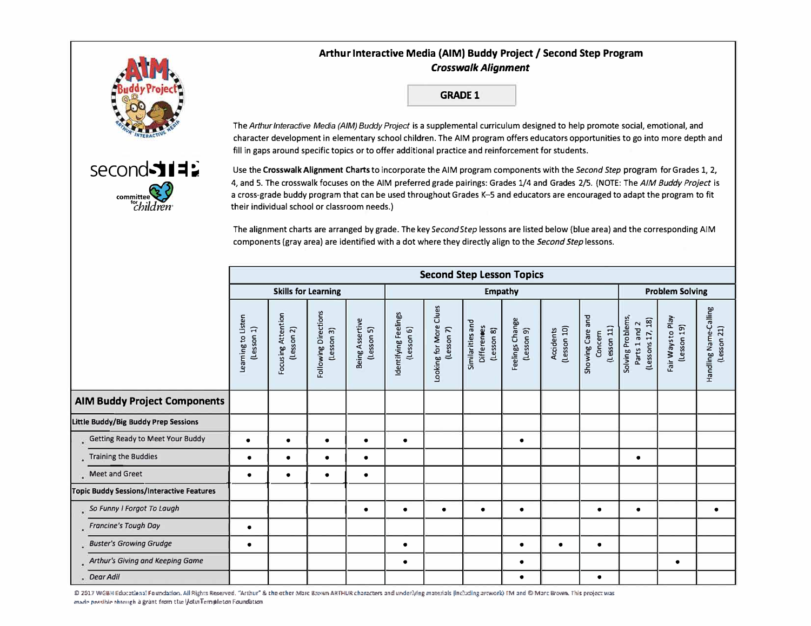

 $second$  $112$ 

committee<sup>2</sup> *'children·* 

## **Arthur Interactive Media (AIM) Buddy Project/ Second Step Program**  *Crosswalk Alignment*

**GRADE 1** 

The *Arthur Interactive Media (AIM) Buddy Project* is a supplemental curriculum designed to help promote social, emotional, and character development in elementary school children. The AIM program offers educators opportunities to go into more depth and fill in gaps around specific topics or to offer additional practice and reinforcement for students.

Use the **Crosswalk Alignment Charts** to incorporate the AIM program components with the *Second Step* program for Grades 1, 2, 4, and 5. The crosswalk focuses on the AIM preferred grade pairings: Grades 1/4 and Grades 2/5. (NOTE: The AIM Buddy Project is a cross-grade buddy program that can be used throughout Grades K-5 and educators are encouraged to adapt the program to fit their individual school or classroom needs.)

The alignment charts are arranged by grade. The key *Second Step* lessons are listed below (blue area) and the corresponding AIM components (gray area) are identified with a dot where they directly align to the *Second Step* lessons.

|                                      |                                           | <b>Second Step Lesson Topics</b>  |                                  |                                    |                               |                                    |                                         |                                                      |                               |                          |                                            |                                                        |                                  |                                       |
|--------------------------------------|-------------------------------------------|-----------------------------------|----------------------------------|------------------------------------|-------------------------------|------------------------------------|-----------------------------------------|------------------------------------------------------|-------------------------------|--------------------------|--------------------------------------------|--------------------------------------------------------|----------------------------------|---------------------------------------|
|                                      |                                           | <b>Skills for Learning</b>        |                                  |                                    |                               | <b>Empathy</b>                     |                                         |                                                      |                               |                          |                                            | <b>Problem Solving</b>                                 |                                  |                                       |
|                                      |                                           | Learning to Listen<br>(less on 1) | Focusing Attention<br>(Lesson 2) | Following Directions<br>(Lesson 3) | Being Assertive<br>(Lesson 5) | Identifying Feelings<br>(Lesson 6) | Clues<br>Looking for More<br>(Lesson 7) | Similarities and<br><b>Differences</b><br>(Lesson 8) | Feelings Change<br>(Lesson 9) | Accidents<br>(Lesson 10) | Showing Care and<br>(lesson 11)<br>Concern | Solving Problems,<br>(Lessons 17, 18)<br>Parts 1 and 2 | Fair Ways to Play<br>(Lesson 19) | Handling Name-Calling<br>(less on 21) |
| <b>AIM Buddy Project Components</b>  |                                           |                                   |                                  |                                    |                               |                                    |                                         |                                                      |                               |                          |                                            |                                                        |                                  |                                       |
| Little Buddy/Big Buddy Prep Sessions |                                           |                                   |                                  |                                    |                               |                                    |                                         |                                                      |                               |                          |                                            |                                                        |                                  |                                       |
|                                      | Getting Ready to Meet Your Buddy          | $\bullet$                         | $\bullet$                        | $\bullet$                          | $\bullet$                     | $\bullet$                          |                                         |                                                      | $\bullet$                     |                          |                                            |                                                        |                                  |                                       |
|                                      | Training the Buddies                      | ٠                                 | $\bullet$                        | ٠                                  | ٠                             |                                    |                                         |                                                      |                               |                          |                                            | ٠                                                      |                                  |                                       |
|                                      | Meet and Greet                            | ٠                                 | $\bullet$                        | ٠                                  | $\bullet$                     |                                    |                                         |                                                      |                               |                          |                                            |                                                        |                                  |                                       |
|                                      | Topic Buddy Sessions/Interactive Features |                                   |                                  |                                    |                               |                                    |                                         |                                                      |                               |                          |                                            |                                                        |                                  |                                       |
|                                      | So Funny I Forgot To Laugh                |                                   |                                  |                                    | ٠                             | $\bullet$                          | ٠                                       | $\bullet$                                            | $\epsilon$                    |                          | ٠                                          | ٠                                                      |                                  |                                       |
|                                      | Francine's Tough Day                      | ٠                                 |                                  |                                    |                               |                                    |                                         |                                                      |                               |                          |                                            |                                                        |                                  |                                       |
|                                      | <b>Buster's Growing Grudge</b>            | ٠                                 |                                  |                                    |                               | $\bullet$                          |                                         |                                                      | $\bullet$                     | $\bullet$                | $\bullet$                                  |                                                        |                                  |                                       |
|                                      | Arthur's Giving and Keeping Game          |                                   |                                  |                                    |                               | ٠                                  |                                         |                                                      | $\bullet$                     |                          |                                            |                                                        | $\bullet$                        |                                       |
|                                      | . Dear Adil                               |                                   |                                  |                                    |                               |                                    |                                         |                                                      |                               |                          | ٠                                          |                                                        |                                  |                                       |

© 2017 WGBH Educational Foundation. All Rights Reserved. "Arthur" & the other Marc Brown ARTHUR characters and underlying materials (including arowork) TM and © Marc Brown. This project was<br>made possible through à grànt fr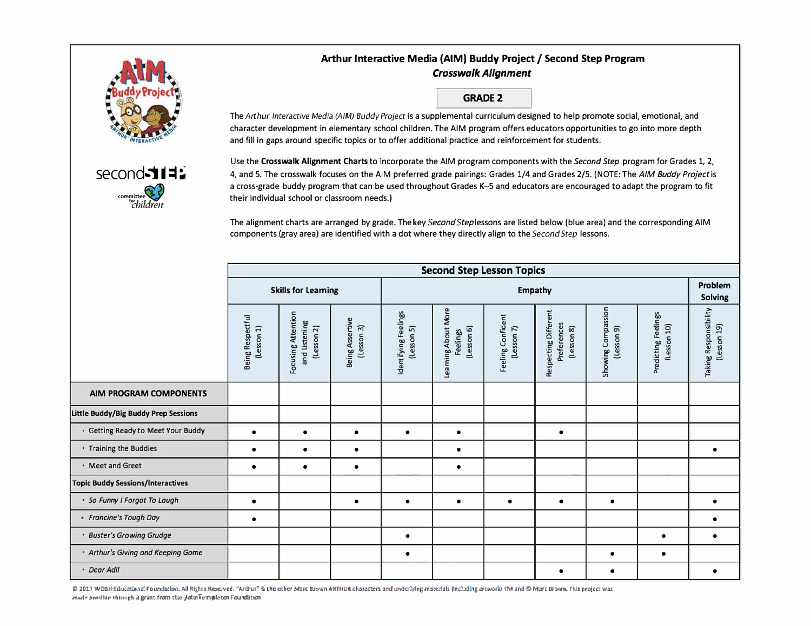# Arthur Interactive Media (AIM) Buddy Project / Second Step Program **Crosswalk Alignment**

**GRADE 2** 

The Arthur Interactive Media (AIM) Buddy Project is a supplemental curriculum designed to help promote social, emotional, and character development in elementary school children. The AIM program offers educators opportunities to go into more depth

and fill in gaps around specific topics or to offer additional practice and reinforcement for students.



Use the Crosswalk Alignment Charts to incorporate the AIM program components with the Second Step program for Grades 1, 2, 4, and 5. The crosswalk focuses on the AIM preferred grade pairings: Grades 1/4 and Grades 2/5. (NOTE: The AIM Buddy Project is a cross-grade buddy program that can be used throughout Grades K-5 and educators are encouraged to adapt the program to fit their individual school or classroom needs.)

The alignment charts are arranged by grade. The key Second Steplessons are listed below (blue area) and the corresponding AIM components (gray area) are identified with a dot where they directly align to the Second Step lessons.

|                                     | <b>Second Step Lesson Topics</b> |                                                   |                               |                                    |                                              |                                 |                                                   |                                  |                                    |                                      |
|-------------------------------------|----------------------------------|---------------------------------------------------|-------------------------------|------------------------------------|----------------------------------------------|---------------------------------|---------------------------------------------------|----------------------------------|------------------------------------|--------------------------------------|
|                                     | <b>Skills for Learning</b>       |                                                   |                               |                                    | Problem<br><b>Solving</b>                    |                                 |                                                   |                                  |                                    |                                      |
|                                     | Being Respectful<br>(Lesson 1)   | Focusing Attention<br>and Listening<br>(Lesson 2) | Being Assertive<br>(Lesson 3) | Identifying Feelings<br>(Lesson 5) | Leaming About More<br>(Lesson 6)<br>Feelings | Feeling Confident<br>(Lesson 7) | Respecting Different<br>Preferences<br>(Lesson 8) | Showing Compassion<br>(Lesson 9) | Predicting Feelings<br>(lesson 10) | Taking Responsibility<br>(Lesson 19) |
| AIM PROGRAM COMPONENTS              |                                  |                                                   |                               |                                    |                                              |                                 |                                                   |                                  |                                    |                                      |
| ittle Buddy/Big Buddy Prep Sessions |                                  |                                                   |                               |                                    |                                              |                                 |                                                   |                                  |                                    |                                      |
| * Getting Ready to Meet Your Buddy  | $\bullet$                        | $\bullet$                                         | $\bullet$                     | $\bullet$                          | $\bullet$                                    |                                 | $\bullet$                                         |                                  |                                    |                                      |
| * Training the Buddies              | $\bullet$                        | ٠                                                 | ٠                             |                                    | $\bullet$                                    |                                 |                                                   |                                  |                                    |                                      |
| · Meet and Greet                    | $\bullet$                        | $\bullet$                                         | $\bullet$                     |                                    | $\bullet$                                    |                                 |                                                   |                                  |                                    |                                      |
| Topic Buddy Sessions/Interactives   |                                  |                                                   |                               |                                    |                                              |                                 |                                                   |                                  |                                    |                                      |
| · So Funny I Forgot To Laugh        | $\bullet$                        |                                                   | $\bullet$                     | $\bullet$                          | $\bullet$                                    | $\bullet$                       | $\bullet$                                         | $\bullet$                        |                                    | $\bullet$                            |
| * Francine's Tough Day              | $\bullet$                        |                                                   |                               |                                    |                                              |                                 |                                                   |                                  |                                    |                                      |
| · Buster's Growing Grudge           |                                  |                                                   |                               | $\bullet$                          |                                              |                                 |                                                   |                                  | $\bullet$                          |                                      |
| · Arthur's Giving and Keeping Game  |                                  |                                                   |                               | $\bullet$                          |                                              |                                 |                                                   | $\bullet$                        | $\bullet$                          |                                      |
| · Dear Adil                         |                                  |                                                   |                               |                                    |                                              |                                 | $\bullet$                                         | $\bullet$                        |                                    | $\bullet$                            |

2017 WGBH Educational Foundation. All Rights Reserved. "Arthur" & the other Marc Brown ARTHUR characters and underlying materials (including arework) TM and @ Marc Brown. This project was made possible through a grant from the VolutTempleton Foundation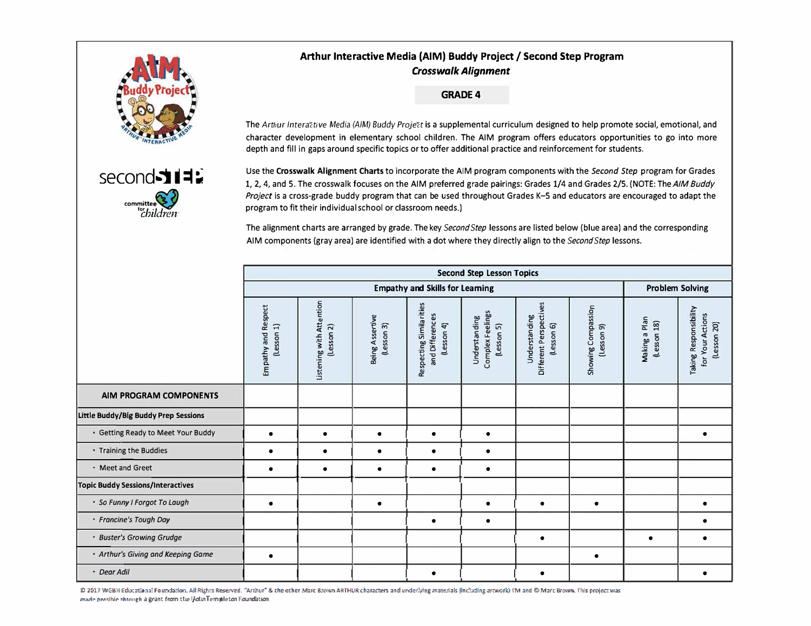

second 11

committee<sup>83</sup>

## Arthur Interactive Media (AIM) Buddy Project / Second Step Program **Crosswalk Alignment**

### **GRADE 4**

The Artbur Interative Media (AIM) Buddy Projet is a supplemental curriculum designed to help promote social, emotional, and character development in elementary school children. The AIM program offers educators opportunities to go into more depth and fill in gaps around specific topics or to offer additional practice and reinforcement for students.

Use the Crosswalk Alignment Charts to incorporate the AIM program components with the Second Step program for Grades 1, 2, 4, and 5. The crosswalk focuses on the AIM preferred grade pairings: Grades 1/4 and Grades 2/5. (NOTE: The AIM Buddy Project is a cross-grade buddy program that can be used throughout Grades K-5 and educators are encouraged to adapt the program to fit their individual school or classroom needs.)

The alignment charts are arranged by grade. The key Second Step lessons are listed below (blue area) and the corresponding AIM components (gray area) are identified with a dot where they directly align to the Second Step lessons.

|                                          | <b>Second Step Lesson Topics</b>  |                                        |                               |                                                          |                                                 |                                                       |                                  |                              |                                                                 |  |  |
|------------------------------------------|-----------------------------------|----------------------------------------|-------------------------------|----------------------------------------------------------|-------------------------------------------------|-------------------------------------------------------|----------------------------------|------------------------------|-----------------------------------------------------------------|--|--|
|                                          |                                   | <b>Empathy and Skills for Learning</b> |                               |                                                          |                                                 |                                                       |                                  |                              |                                                                 |  |  |
|                                          | Empathy and Respect<br>(Lesson 1) | Listening with Attention<br>(Lesson 2) | Being Assertive<br>(lesson 3) | Respecting Similarities<br>and Differences<br>(Lesson 4) | Complex Feelings<br>Understanding<br>(Lesson 5) | Different Perspectives<br>Understanding<br>(Lesson 6) | Showing Compassion<br>(Lesson 9) | Making a Plan<br>(Lesson 18) | <b>Taking Responsibility</b><br>for Your Actions<br>(Lesson 20) |  |  |
| AIM PROGRAM COMPONENTS                   |                                   |                                        |                               |                                                          |                                                 |                                                       |                                  |                              |                                                                 |  |  |
| Little Buddy/Big Buddy Prep Sessions     |                                   |                                        |                               |                                                          |                                                 |                                                       |                                  |                              |                                                                 |  |  |
| • Getting Ready to Meet Your Buddy       | $\bullet$                         | $\bullet$                              | $\bullet$                     | $\bullet$                                                | $\bullet$                                       |                                                       |                                  |                              |                                                                 |  |  |
| * Training the Buddies                   | $\bullet$                         | $\bullet$                              | $\bullet$                     | $\bullet$                                                | $\bullet$                                       |                                                       |                                  |                              |                                                                 |  |  |
| * Meet and Greet                         | ٠                                 | ٠                                      | $\bullet$                     | $\epsilon$                                               | $\bullet$                                       |                                                       |                                  |                              |                                                                 |  |  |
| <b>Topic Buddy Sessions/Interactives</b> |                                   |                                        |                               |                                                          |                                                 |                                                       |                                  |                              |                                                                 |  |  |
| · So Funny I Forgot To Laugh             | $\bullet$                         |                                        | $\bullet$                     |                                                          | $\bullet$                                       | $\bullet$                                             | $\bullet$                        |                              | $\bullet$                                                       |  |  |
| · Francine's Tough Day                   |                                   |                                        |                               | ٠                                                        | $\bullet$                                       |                                                       |                                  |                              |                                                                 |  |  |
| · Buster's Growing Grudge                |                                   |                                        |                               |                                                          |                                                 | $\bullet$                                             |                                  | $\bullet$                    |                                                                 |  |  |
| • Arthur's Giving and Keeping Game       | $\bullet$                         |                                        |                               |                                                          |                                                 |                                                       | $\bullet$                        |                              |                                                                 |  |  |
| • Dear Adil                              |                                   |                                        |                               | $\bullet$                                                |                                                 | $\bullet$                                             |                                  |                              | $\bullet$                                                       |  |  |

20 2017 WGBH Educational Foundation. All Rights Reserved. "Arthur" & the other Marc Brown ARTHUR characters and underlying materials (including arework) TM and @ Marc Brown. This project was made possible through a grant from the light Templeton Foundation.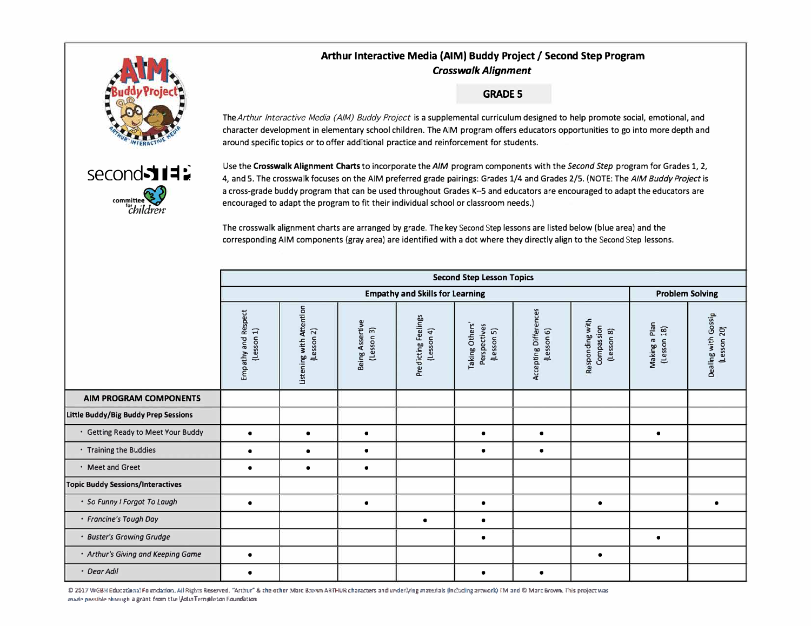## Arthur Interactive Media (AIM) Buddy Project / Second Step Program **Crosswalk Alianment**



second 311

committee

## **GRADE 5**

The Arthur Interactive Media (AIM) Buddy Project is a supplemental curriculum designed to help promote social, emotional, and character development in elementary school children. The AIM program offers educators opportunities to go into more depth and around specific topics or to offer additional practice and reinforcement for students.



The crosswalk alignment charts are arranged by grade. The key Second Step lessons are listed below (blue area) and the corresponding AIM components (gray area) are identified with a dot where they directly align to the Second Step lessons.

|                                          |                                    |                                         | <b>Problem Solving</b>        |                                        |                                              |                                     |                                             |                                                      |                                    |
|------------------------------------------|------------------------------------|-----------------------------------------|-------------------------------|----------------------------------------|----------------------------------------------|-------------------------------------|---------------------------------------------|------------------------------------------------------|------------------------------------|
|                                          | Empathy and Respect<br>(less on 1) | Listening with Attention<br>(less on 2) | Being Assertive<br>(Lesson 3) | Predicting Feelings<br>$(less$ sn $4)$ | Taking Others'<br>Perspectives<br>(Lesson 5) | Accepting Differences<br>(Lesson 6) | Responding with<br>Compassion<br>(Lesson 8) | Making a Plan<br>$\widetilde{\mathbf{g}}$<br>(Lesson | Dealing with Gossip<br>(Lesson 20) |
| AIM PROGRAM COMPONENTS                   |                                    |                                         |                               |                                        |                                              |                                     |                                             |                                                      |                                    |
| Little Buddy/Big Buddy Prep Sessions     |                                    |                                         |                               |                                        |                                              |                                     |                                             |                                                      |                                    |
| · Getting Ready to Meet Your Buddy       | $\bullet$                          | $\bullet$                               | $\bullet$                     |                                        | $\bullet$                                    | $\bullet$                           |                                             | $\bullet$                                            |                                    |
| • Training the Buddies                   | ٠                                  | $\bullet$                               | $\bullet$                     |                                        |                                              | $\bullet$                           |                                             |                                                      |                                    |
| · Meet and Greet                         | ٠                                  | $\bullet$                               | $\bullet$                     |                                        |                                              |                                     |                                             |                                                      |                                    |
| <b>Topic Buddy Sessions/Interactives</b> |                                    |                                         |                               |                                        |                                              |                                     |                                             |                                                      |                                    |
| · So Funny I Forgot To Laugh             |                                    |                                         | $\bullet$                     |                                        |                                              |                                     | $\bullet$                                   |                                                      | $\bullet$                          |
| · Francine's Tough Day                   |                                    |                                         |                               | $\bullet$                              | $\bullet$                                    |                                     |                                             |                                                      |                                    |
| · Buster's Growing Grudge                |                                    |                                         |                               |                                        |                                              |                                     |                                             | $\bullet$                                            |                                    |
| • Arthur's Giving and Keeping Game       | $\bullet$                          |                                         |                               |                                        |                                              |                                     | $\bullet$                                   |                                                      |                                    |
| · Dear Adil                              | $\bullet$                          |                                         |                               |                                        | $\bullet$                                    | $\bullet$                           |                                             |                                                      |                                    |

2012 WGBH Educational Foundation. All Rights Reserved. "Arthur" & the other Marc Brown ARTHUR characters and underlying materials (including arework) TM and @ Marc Brown. This project was made possible through a grant from the lictual empleton Foundation